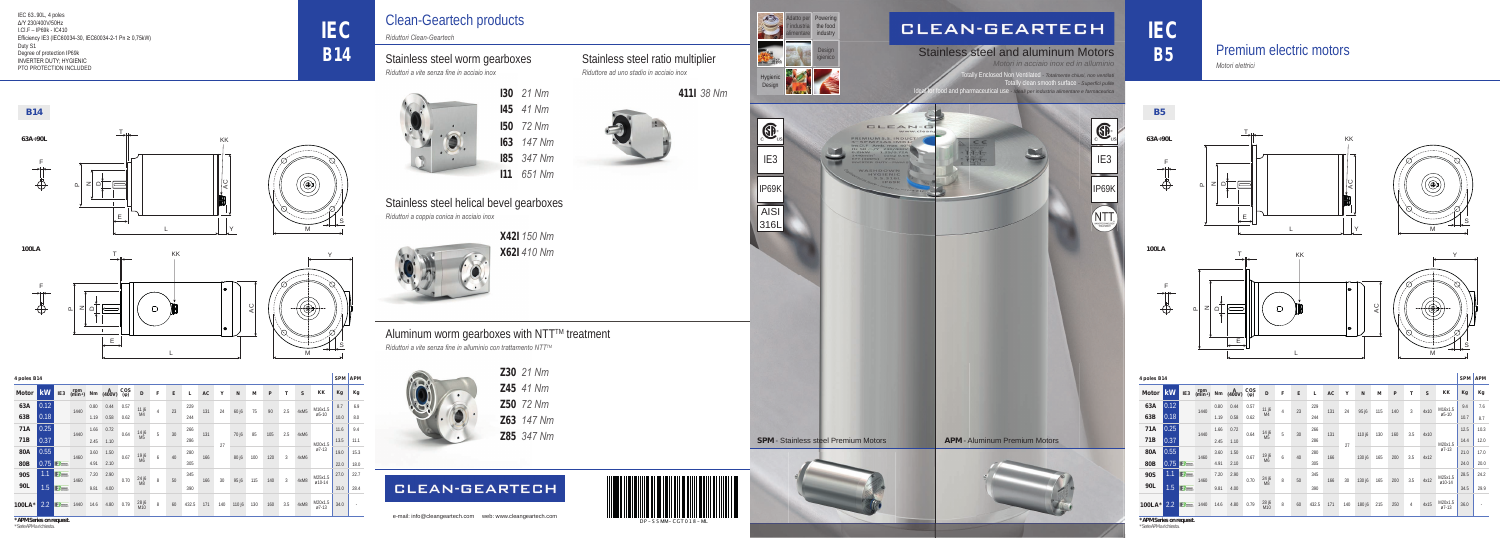



## **CLEAN-GEARTECH**

## Stainless steel worm gearboxes

## Stainless steel helical bevel gearboxes

*Riduttori a vite senza fi ne in acciaio inox*

*Riduttori a coppia conica in acciaio inox*

## Stainless steel ratio multiplier

*Riduttore ad uno stadio in acciaio inox*

**X42I** *150 Nm* **X62I** *410 Nm*



Aluminum worm gearboxes with NTT™ treatment

*Riduttori a vite senza fine in alluminio con trattamento NTT™* 



| 130 | 21 Nm  |
|-----|--------|
| 145 | 41 Nm  |
| 150 | 72 Nm  |
| 163 | 147 Nm |
| 185 | 347 Nm |
| 111 | 651 Nm |

**411I** *38 Nm*

**Z30** *21 Nm* **Z50** *72 Nm* **Z45** *41 Nm* **Z63** *147 Nm* **Z85** *347 Nm*

## **CLEAN-GEARTECH**

Ily Enclosed Non Ventilated *- Totalmente chiusi, non ventilati* Illy clean smooth surface *- superfici pulite* d and pharmaceutical use *- Ideali per industria alimentare e farmaceutica Motori in acciaio inox ed in alluminio*

# Clean-Geartech products

*Riduttori Clean-Geartech*

Hygienic Design

Design igienico

alimentare industry

Powering the food



Adatto per l' industria



## Stainless steel and aluminum Motors



*Motori elettrici* 

## Premium electric motors

**IEC**

**B14**

IEC 63..90L, 4 poles Δ/Y 230/400V/50Hz I.Cl.F – IP69k - IC410 Efficiency IE3 (IEC60034-30, IEC60034-2-1 Pn ≥ 0,75kW) Duty S1 Degree of protection IP69k INVERTER DUTY; HYGIENIC PTO PROTECTION INCLUDED

**\* APM Series on request.**

*\* Serie APM a richiesta.*

|              | 4 poles B14 |                   |                             |      |             |                       |                         |                |    |       |           |     |        |     |     | <b>SPM</b> | <b>APM</b> |                    |      |      |
|--------------|-------------|-------------------|-----------------------------|------|-------------|-----------------------|-------------------------|----------------|----|-------|-----------|-----|--------|-----|-----|------------|------------|--------------------|------|------|
| <b>Motor</b> | kW          | IE <sub>3</sub>   | rpm<br>(min <sup>-1</sup> ) | Nm   | A<br>(400V) | $\cos$<br>$(\varphi)$ | D                       | F              | E  | L     | <b>AC</b> | Y   | N      | M   | P   | т          | S          | <b>KK</b>          | Kg   | Kg   |
| 63A          | 0.12        |                   |                             | 0.80 | 0.44        | 0.57                  | 11 j6<br>M <sup>4</sup> | $\overline{4}$ | 23 | 229   | 131       | 24  | 95 j6  | 115 | 140 | 3          | 4x10       | M16x1.5<br>$Ø5-10$ | 9.4  | 7.6  |
| 63B          | 0.18        |                   | 1440                        | 1.19 | 0.58        | 0.62                  |                         |                |    | 244   |           |     |        |     |     |            |            |                    | 10.7 | 8.7  |
| <b>71A</b>   | 0.25        |                   | 1440                        | 1.66 | 0.72        | 0.64                  | 14 j6<br>M5             | 5              | 30 | 266   | 131       | 27  | 110 j6 | 130 | 160 | 3.5        | 4x10       | M20x1.5            | 12.5 | 10.3 |
| 71B          | 0.37        |                   |                             | 2.45 | 1.10        |                       |                         |                |    | 286   |           |     |        |     |     |            |            |                    | 14.4 | 12.0 |
| <b>80A</b>   | 0.55        |                   | 1460                        | 3.60 | 1.50        | 0.67                  | 19 j6<br>M6             | 6              | 40 | 280   | 166       |     | 130 j6 | 165 | 200 | 3.5        | 4x12       | $Ø7-13$            | 21.0 | 17.0 |
| <b>80B</b>   | 0.75        | <b>IE3</b> many   |                             | 4.91 | 2.10        |                       |                         |                |    | 305   |           |     |        |     |     |            |            |                    | 24.0 | 20.0 |
| <b>90S</b>   | 1.1         | <b>IE3</b> masser |                             | 7.20 | 2.90        |                       |                         |                |    | 345   |           |     |        |     |     |            |            | M25x1.5            | 28.5 | 24.2 |
| 90L          | 1.5         | <b>IEB</b> money  | 1460                        | 9.81 | 4.00        | 0.70                  | 24 j6<br>M8             | $\, 8$         | 50 | 390   | 166       | 30  | 130 j6 | 165 | 200 | 3.5        | 4x12       | ø10-14             | 34.5 | 29.9 |
| 100LA*       | 2.2         | <b>IE3</b> maxer  | 1440                        | 14.6 | 4.80        | 0.79                  | 28 j6<br>M10            | 8              | 60 | 432.5 | 171       | 140 | 180 j6 | 215 | 250 | 4          | 4x15       | M20x1.5<br>$Ø7-13$ | 36.0 |      |

|              | 4 poles B14 |                  |                             |      |             |                           |              |   |    |       |           |     |        |     |     | <b>SPM</b> | <b>APM</b> |                    |      |      |
|--------------|-------------|------------------|-----------------------------|------|-------------|---------------------------|--------------|---|----|-------|-----------|-----|--------|-----|-----|------------|------------|--------------------|------|------|
| <b>Motor</b> | kW          | IE <sub>3</sub>  | rpm<br>(min <sup>-1</sup> ) | Nm   | A<br>(400V) | <b>COS</b><br>$(\varphi)$ | D            | F | E  | L     | <b>AC</b> | Y   | N      | M   | P   | T          | S          | KK                 | Kg   | Kg   |
| 63A          | 0.12        |                  | 1440                        | 0.80 | 0.44        | 0.57                      | 11 j6        | 4 | 23 | 229   | 131       | 24  | 60 j6  | 75  | 90  | 2.5        | 4xM5       | M16x1.5<br>$Ø5-10$ | 8.7  | 6.9  |
| 63B          | 0.18        |                  |                             | 1.19 | 0.58        | 0.62                      | M4           |   |    | 244   |           |     |        |     |     |            |            |                    | 10.0 | 8.0  |
| <b>71A</b>   | 0.25        |                  | 1440                        | 1.66 | 0.72        | 0.64                      | 14 j6<br>M5  | 5 | 30 | 266   | 131       |     | 70 j6  | 85  | 105 | 2.5        | 4xM6       |                    | 11.6 | 9.4  |
| <b>71B</b>   | 0.37        |                  |                             | 2.45 | 1.10        |                           |              |   |    | 286   |           | 27  |        |     |     |            |            | M20x1.5            | 13.5 | 11.1 |
| <b>80A</b>   | 0.55        |                  | 1460                        | 3.60 | 1.50        | 0.67                      | 19 j6<br>M6  | 6 | 40 | 280   | 166       |     | 80 j6  | 100 | 120 | 3          | 4xM6       | $Ø7-13$            | 19.0 | 15.3 |
| <b>80B</b>   | 0.75        | IE3              |                             | 4.91 | 2.10        |                           |              |   |    | 305   |           |     |        |     |     |            |            |                    | 22.0 | 18.0 |
| <b>90S</b>   | 1.1         | <b>IE3</b> money |                             | 7.20 | 2.90        |                           |              |   |    | 345   |           |     |        |     |     |            |            | M25x1.5            | 27.0 | 22.7 |
| 90L          | .5<br>1     | <b>IE3</b>       | 1460                        | 9.81 | 4.00        | 0.70                      | 24 j6<br>M8  | 8 | 50 | 390   | 166       | 30  | 95 j6  | 115 | 140 | 3          | 4xM8       | ø10-14             | 33.0 | 28.4 |
| 100LA*       | 2.2         | <b>IE3</b> money | 1440                        | 14.6 | 4.80        | 0.79                      | 28 j6<br>M10 | 8 | 60 | 432.5 | 171       | 140 | 110 j6 | 130 | 160 | 3.5        | 4xM8       | M20x1.5<br>$Ø7-13$ | 34.0 |      |







**B5**



**63A÷90L**



F

 $\bigoplus$ 



**100LA**



KK



AC

 $\vert \vee$ 

**B14**

![](_page_0_Figure_6.jpeg)

![](_page_0_Figure_7.jpeg)

**100LA**

### **63A÷90L**